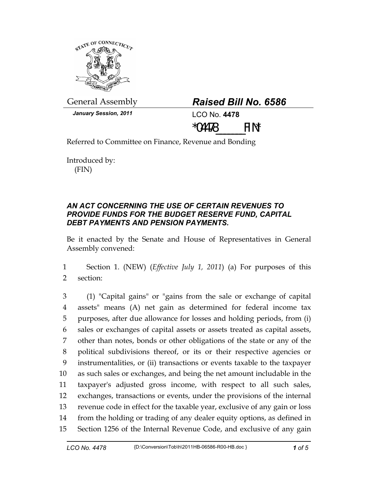

General Assembly *Raised Bill No. 6586* 

*January Session, 2011* LCO No. **4478**



Referred to Committee on Finance, Revenue and Bonding

Introduced by: (FIN)

## *AN ACT CONCERNING THE USE OF CERTAIN REVENUES TO PROVIDE FUNDS FOR THE BUDGET RESERVE FUND, CAPITAL DEBT PAYMENTS AND PENSION PAYMENTS.*

Be it enacted by the Senate and House of Representatives in General Assembly convened:

1 Section 1. (NEW) (*Effective July 1, 2011*) (a) For purposes of this 2 section:

3 (1) "Capital gains" or "gains from the sale or exchange of capital 4 assets" means (A) net gain as determined for federal income tax 5 purposes, after due allowance for losses and holding periods, from (i) 6 sales or exchanges of capital assets or assets treated as capital assets, 7 other than notes, bonds or other obligations of the state or any of the 8 political subdivisions thereof, or its or their respective agencies or 9 instrumentalities, or (ii) transactions or events taxable to the taxpayer 10 as such sales or exchanges, and being the net amount includable in the 11 taxpayer's adjusted gross income, with respect to all such sales, 12 exchanges, transactions or events, under the provisions of the internal 13 revenue code in effect for the taxable year, exclusive of any gain or loss 14 from the holding or trading of any dealer equity options, as defined in 15 Section 1256 of the Internal Revenue Code, and exclusive of any gain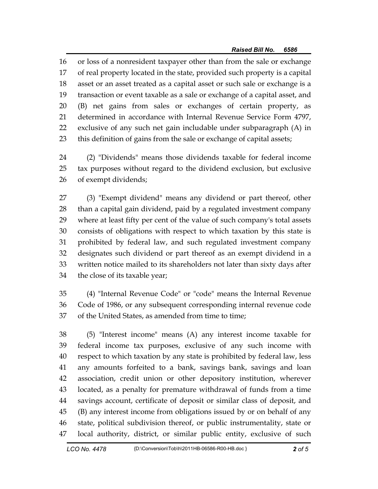16 or loss of a nonresident taxpayer other than from the sale or exchange 17 of real property located in the state, provided such property is a capital 18 asset or an asset treated as a capital asset or such sale or exchange is a 19 transaction or event taxable as a sale or exchange of a capital asset, and 20 (B) net gains from sales or exchanges of certain property, as 21 determined in accordance with Internal Revenue Service Form 4797, 22 exclusive of any such net gain includable under subparagraph (A) in 23 this definition of gains from the sale or exchange of capital assets;

24 (2) "Dividends" means those dividends taxable for federal income 25 tax purposes without regard to the dividend exclusion, but exclusive 26 of exempt dividends;

27 (3) "Exempt dividend" means any dividend or part thereof, other 28 than a capital gain dividend, paid by a regulated investment company 29 where at least fifty per cent of the value of such company's total assets 30 consists of obligations with respect to which taxation by this state is 31 prohibited by federal law, and such regulated investment company 32 designates such dividend or part thereof as an exempt dividend in a 33 written notice mailed to its shareholders not later than sixty days after 34 the close of its taxable year;

35 (4) "Internal Revenue Code" or "code" means the Internal Revenue 36 Code of 1986, or any subsequent corresponding internal revenue code 37 of the United States, as amended from time to time;

38 (5) "Interest income" means (A) any interest income taxable for 39 federal income tax purposes, exclusive of any such income with 40 respect to which taxation by any state is prohibited by federal law, less 41 any amounts forfeited to a bank, savings bank, savings and loan 42 association, credit union or other depository institution, wherever 43 located, as a penalty for premature withdrawal of funds from a time 44 savings account, certificate of deposit or similar class of deposit, and 45 (B) any interest income from obligations issued by or on behalf of any 46 state, political subdivision thereof, or public instrumentality, state or 47 local authority, district, or similar public entity, exclusive of such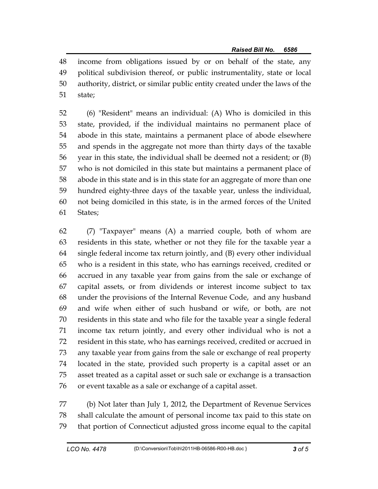48 income from obligations issued by or on behalf of the state, any 49 political subdivision thereof, or public instrumentality, state or local 50 authority, district, or similar public entity created under the laws of the 51 state;

52 (6) "Resident" means an individual: (A) Who is domiciled in this 53 state, provided, if the individual maintains no permanent place of 54 abode in this state, maintains a permanent place of abode elsewhere 55 and spends in the aggregate not more than thirty days of the taxable 56 year in this state, the individual shall be deemed not a resident; or (B) 57 who is not domiciled in this state but maintains a permanent place of 58 abode in this state and is in this state for an aggregate of more than one 59 hundred eighty-three days of the taxable year, unless the individual, 60 not being domiciled in this state, is in the armed forces of the United 61 States;

62 (7) "Taxpayer" means (A) a married couple, both of whom are 63 residents in this state, whether or not they file for the taxable year a 64 single federal income tax return jointly, and (B) every other individual 65 who is a resident in this state, who has earnings received, credited or 66 accrued in any taxable year from gains from the sale or exchange of 67 capital assets, or from dividends or interest income subject to tax 68 under the provisions of the Internal Revenue Code, and any husband 69 and wife when either of such husband or wife, or both, are not 70 residents in this state and who file for the taxable year a single federal 71 income tax return jointly, and every other individual who is not a 72 resident in this state, who has earnings received, credited or accrued in 73 any taxable year from gains from the sale or exchange of real property 74 located in the state, provided such property is a capital asset or an 75 asset treated as a capital asset or such sale or exchange is a transaction 76 or event taxable as a sale or exchange of a capital asset.

77 (b) Not later than July 1, 2012, the Department of Revenue Services 78 shall calculate the amount of personal income tax paid to this state on 79 that portion of Connecticut adjusted gross income equal to the capital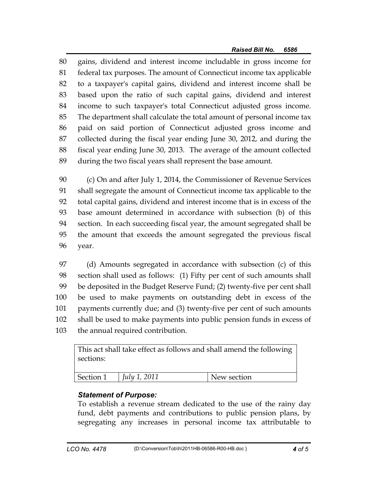80 gains, dividend and interest income includable in gross income for 81 federal tax purposes. The amount of Connecticut income tax applicable 82 to a taxpayer's capital gains, dividend and interest income shall be 83 based upon the ratio of such capital gains, dividend and interest 84 income to such taxpayer's total Connecticut adjusted gross income. 85 The department shall calculate the total amount of personal income tax 86 paid on said portion of Connecticut adjusted gross income and 87 collected during the fiscal year ending June 30, 2012, and during the 88 fiscal year ending June 30, 2013. The average of the amount collected 89 during the two fiscal years shall represent the base amount.

90 (c) On and after July 1, 2014, the Commissioner of Revenue Services 91 shall segregate the amount of Connecticut income tax applicable to the 92 total capital gains, dividend and interest income that is in excess of the 93 base amount determined in accordance with subsection (b) of this 94 section. In each succeeding fiscal year, the amount segregated shall be 95 the amount that exceeds the amount segregated the previous fiscal 96 year.

97 (d) Amounts segregated in accordance with subsection (c) of this 98 section shall used as follows: (1) Fifty per cent of such amounts shall 99 be deposited in the Budget Reserve Fund; (2) twenty-five per cent shall 100 be used to make payments on outstanding debt in excess of the 101 payments currently due; and (3) twenty-five per cent of such amounts 102 shall be used to make payments into public pension funds in excess of 103 the annual required contribution.

This act shall take effect as follows and shall amend the following sections: Section 1 *July 1, 2011* New section

## *Statement of Purpose:*

To establish a revenue stream dedicated to the use of the rainy day fund, debt payments and contributions to public pension plans, by segregating any increases in personal income tax attributable to